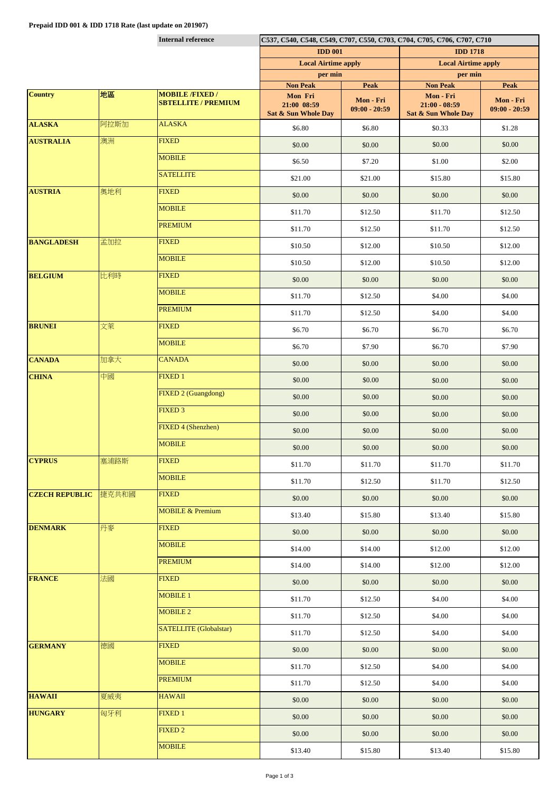|                       |       | <b>Internal reference</b>     | C537, C540, C548, C549, C707, C550, C703, C704, C705, C706, C707, C710 |                              |                                        |                              |  |
|-----------------------|-------|-------------------------------|------------------------------------------------------------------------|------------------------------|----------------------------------------|------------------------------|--|
|                       |       |                               | <b>IDD 001</b>                                                         |                              | <b>IDD 1718</b>                        |                              |  |
|                       |       |                               | <b>Local Airtime apply</b>                                             |                              | <b>Local Airtime apply</b>             |                              |  |
|                       |       |                               | per min<br><b>Non Peak</b>                                             | <b>Peak</b>                  | per min<br><b>Non Peak</b>             | <b>Peak</b>                  |  |
| <b>Country</b>        | 地區    | <b>MOBILE /FIXED /</b>        | Mon Fri                                                                |                              | Mon - Fri                              |                              |  |
|                       |       | <b>SBTELLITE / PREMIUM</b>    | 21:00 08:59<br>Sat & Sun Whole Day                                     | Mon - Fri<br>$09:00 - 20:59$ | $21:00 - 08:59$<br>Sat & Sun Whole Day | Mon - Fri<br>$09:00 - 20:59$ |  |
| <b>ALASKA</b>         | 阿拉斯加  | <b>ALASKA</b>                 | \$6.80                                                                 | \$6.80                       | \$0.33                                 | \$1.28                       |  |
| <b>AUSTRALIA</b>      | 澳洲    | <b>FIXED</b>                  | \$0.00                                                                 | \$0.00                       | \$0.00                                 | \$0.00                       |  |
|                       |       | <b>MOBILE</b>                 | \$6.50                                                                 | \$7.20                       | \$1.00                                 | \$2.00                       |  |
|                       |       | <b>SATELLITE</b>              | \$21.00                                                                | \$21.00                      | \$15.80                                | \$15.80                      |  |
| <b>AUSTRIA</b>        | 奥地利   | <b>FIXED</b>                  | \$0.00                                                                 | \$0.00                       | \$0.00                                 | \$0.00                       |  |
|                       |       | <b>MOBILE</b>                 | \$11.70                                                                | \$12.50                      | \$11.70                                | \$12.50                      |  |
|                       |       | <b>PREMIUM</b>                | \$11.70                                                                | \$12.50                      | \$11.70                                | \$12.50                      |  |
| <b>BANGLADESH</b>     | 孟加拉   | <b>FIXED</b>                  | \$10.50                                                                | \$12.00                      | \$10.50                                | \$12.00                      |  |
|                       |       | <b>MOBILE</b>                 | \$10.50                                                                | \$12.00                      | \$10.50                                | \$12.00                      |  |
| <b>BELGIUM</b>        | 比利時   | <b>FIXED</b>                  | \$0.00                                                                 | \$0.00                       | \$0.00                                 | \$0.00                       |  |
|                       |       | <b>MOBILE</b>                 | \$11.70                                                                | \$12.50                      | \$4.00                                 | \$4.00                       |  |
|                       |       | <b>PREMIUM</b>                | \$11.70                                                                | \$12.50                      | \$4.00                                 | \$4.00                       |  |
| <b>BRUNEI</b>         | 文萊    | <b>FIXED</b>                  | \$6.70                                                                 | \$6.70                       | \$6.70                                 | \$6.70                       |  |
|                       |       | <b>MOBILE</b>                 | \$6.70                                                                 | \$7.90                       | \$6.70                                 | \$7.90                       |  |
| <b>CANADA</b>         | 加拿大   | <b>CANADA</b>                 | \$0.00                                                                 | \$0.00                       | \$0.00                                 | \$0.00                       |  |
| <b>CHINA</b>          | 中國    | <b>FIXED1</b>                 | \$0.00                                                                 | \$0.00                       | \$0.00                                 | \$0.00                       |  |
|                       |       | FIXED 2 (Guangdong)           | \$0.00                                                                 | \$0.00                       | \$0.00                                 | \$0.00                       |  |
|                       |       | <b>FIXED 3</b>                | \$0.00                                                                 | \$0.00                       | \$0.00                                 | \$0.00                       |  |
|                       |       | <b>FIXED 4 (Shenzhen)</b>     | \$0.00                                                                 | \$0.00                       | \$0.00                                 | \$0.00                       |  |
|                       |       | <b>MOBILE</b>                 | \$0.00                                                                 | \$0.00                       | \$0.00                                 | \$0.00                       |  |
| <b>CYPRUS</b>         | 塞浦路斯  | <b>FIXED</b>                  | \$11.70                                                                | \$11.70                      | \$11.70                                | \$11.70                      |  |
|                       |       | <b>MOBILE</b>                 | \$11.70                                                                | \$12.50                      | \$11.70                                | \$12.50                      |  |
| <b>CZECH REPUBLIC</b> | 捷克共和國 | <b>FIXED</b>                  | \$0.00                                                                 | \$0.00                       | \$0.00                                 | \$0.00                       |  |
|                       |       | <b>MOBILE &amp; Premium</b>   | \$13.40                                                                | \$15.80                      | \$13.40                                | \$15.80                      |  |
| <b>DENMARK</b>        | 丹麥    | <b>FIXED</b>                  | \$0.00                                                                 | \$0.00                       | \$0.00                                 | \$0.00                       |  |
|                       |       | <b>MOBILE</b>                 | \$14.00                                                                | \$14.00                      | \$12.00                                | \$12.00                      |  |
|                       |       | <b>PREMIUM</b>                | \$14.00                                                                | \$14.00                      | \$12.00                                | \$12.00                      |  |
| <b>FRANCE</b>         | 法國    | <b>FIXED</b>                  | \$0.00                                                                 | \$0.00                       | \$0.00                                 | \$0.00                       |  |
|                       |       | <b>MOBILE 1</b>               | \$11.70                                                                | \$12.50                      | \$4.00                                 | \$4.00                       |  |
|                       |       | <b>MOBILE 2</b>               | \$11.70                                                                | \$12.50                      | \$4.00                                 | \$4.00                       |  |
|                       |       | <b>SATELLITE</b> (Globalstar) | \$11.70                                                                | \$12.50                      | \$4.00                                 | \$4.00                       |  |
| <b>GERMANY</b>        | 德國    | <b>FIXED</b>                  | \$0.00                                                                 | \$0.00                       | \$0.00                                 | \$0.00                       |  |
|                       |       | <b>MOBILE</b>                 | \$11.70                                                                | \$12.50                      | \$4.00                                 | \$4.00                       |  |
|                       |       | <b>PREMIUM</b>                | \$11.70                                                                | \$12.50                      | \$4.00                                 | \$4.00                       |  |
| <b>HAWAII</b>         | 夏威夷   | <b>HAWAII</b>                 | \$0.00                                                                 | \$0.00                       | \$0.00                                 | \$0.00                       |  |
| <b>HUNGARY</b>        | 匈牙利   | <b>FIXED 1</b>                | \$0.00                                                                 | \$0.00                       | \$0.00                                 | \$0.00                       |  |
|                       |       | FIXED <sub>2</sub>            | \$0.00                                                                 | \$0.00                       | \$0.00                                 | \$0.00                       |  |
|                       |       | <b>MOBILE</b>                 | \$13.40                                                                | \$15.80                      | \$13.40                                | \$15.80                      |  |
|                       |       |                               |                                                                        |                              |                                        |                              |  |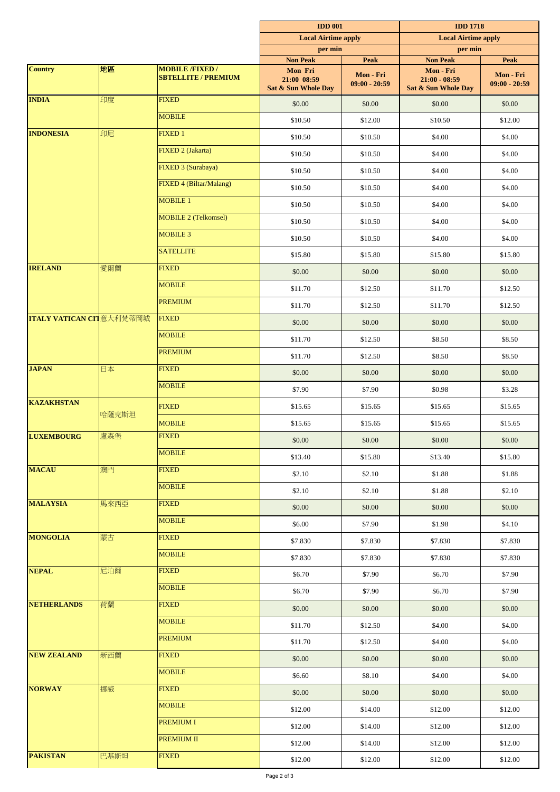|                                  |       |                                                      | <b>IDD 001</b><br><b>Local Airtime apply</b>  |                              | <b>IDD 1718</b><br><b>Local Airtime apply</b>       |                              |
|----------------------------------|-------|------------------------------------------------------|-----------------------------------------------|------------------------------|-----------------------------------------------------|------------------------------|
|                                  |       |                                                      |                                               |                              |                                                     |                              |
|                                  |       |                                                      | per min<br><b>Non Peak</b>                    | <b>Peak</b>                  | per min<br><b>Non Peak</b>                          | <b>Peak</b>                  |
| <b>Country</b>                   | 高麗    | <b>MOBILE /FIXED /</b><br><b>SBTELLITE / PREMIUM</b> | Mon Fri<br>21:00 08:59<br>Sat & Sun Whole Day | Mon - Fri<br>$09:00 - 20:59$ | Mon - Fri<br>$21:00 - 08:59$<br>Sat & Sun Whole Day | Mon - Fri<br>$09:00 - 20:59$ |
| <b>INDIA</b>                     | 印度    | <b>FIXED</b>                                         | \$0.00                                        | \$0.00                       | \$0.00                                              | \$0.00                       |
|                                  |       | <b>MOBILE</b>                                        | \$10.50                                       | \$12.00                      | \$10.50                                             | \$12.00                      |
| <b>INDONESIA</b>                 | 印尼    | <b>FIXED1</b>                                        | \$10.50                                       | \$10.50                      | \$4.00                                              | \$4.00                       |
|                                  |       | FIXED 2 (Jakarta)                                    | \$10.50                                       | \$10.50                      | \$4.00                                              | \$4.00                       |
|                                  |       | FIXED 3 (Surabaya)                                   | \$10.50                                       | \$10.50                      | \$4.00                                              | \$4.00                       |
|                                  |       | FIXED 4 (Biltar/Malang)                              | \$10.50                                       | \$10.50                      | \$4.00                                              | \$4.00                       |
|                                  |       | <b>MOBILE 1</b>                                      | \$10.50                                       | \$10.50                      | \$4.00                                              | \$4.00                       |
|                                  |       | <b>MOBILE 2 (Telkomsel)</b>                          | \$10.50                                       | \$10.50                      | \$4.00                                              | \$4.00                       |
|                                  |       | <b>MOBILE 3</b>                                      | \$10.50                                       | \$10.50                      | \$4.00                                              | \$4.00                       |
|                                  |       | <b>SATELLITE</b>                                     | \$15.80                                       | \$15.80                      | \$15.80                                             | \$15.80                      |
| <b>IRELAND</b>                   | 愛爾蘭   | <b>FIXED</b>                                         | \$0.00                                        | \$0.00                       | \$0.00                                              | \$0.00                       |
|                                  |       | <b>MOBILE</b>                                        | \$11.70                                       | \$12.50                      | \$11.70                                             | \$12.50                      |
|                                  |       | <b>PREMIUM</b>                                       | \$11.70                                       | \$12.50                      | \$11.70                                             | \$12.50                      |
| <b>ITALY VATICAN CIT</b> 意大利梵蒂岡城 |       | <b>FIXED</b>                                         | \$0.00                                        | \$0.00                       | \$0.00                                              | \$0.00                       |
|                                  |       | <b>MOBILE</b>                                        | \$11.70                                       | \$12.50                      | \$8.50                                              | \$8.50                       |
|                                  |       | <b>PREMIUM</b>                                       | \$11.70                                       | \$12.50                      | \$8.50                                              | \$8.50                       |
| <b>JAPAN</b>                     | 日本    | <b>FIXED</b>                                         | \$0.00                                        | \$0.00                       | \$0.00                                              | \$0.00                       |
|                                  |       | <b>MOBILE</b>                                        | \$7.90                                        | \$7.90                       | \$0.98                                              | \$3.28                       |
| <b>KAZAKHSTAN</b>                | 哈薩克斯坦 | <b>FIXED</b>                                         | \$15.65                                       | \$15.65                      | \$15.65                                             | \$15.65                      |
|                                  |       | <b>MOBILE</b>                                        | \$15.65                                       | \$15.65                      | \$15.65                                             | \$15.65                      |
| <b>LUXEMBOURG</b>                | 盧森堡   | <b>FIXED</b>                                         | \$0.00                                        | \$0.00                       | \$0.00                                              | \$0.00                       |
|                                  |       | <b>MOBILE</b>                                        | \$13.40                                       | \$15.80                      | \$13.40                                             | \$15.80                      |
| <b>MACAU</b>                     | 澳門    | <b>FIXED</b>                                         | \$2.10                                        | \$2.10                       | \$1.88                                              | \$1.88                       |
|                                  |       | <b>MOBILE</b>                                        | \$2.10                                        | \$2.10                       | \$1.88                                              | \$2.10                       |
| <b>MALAYSIA</b>                  | 馬來西亞  | <b>FIXED</b>                                         | \$0.00                                        | \$0.00                       | \$0.00                                              | \$0.00                       |
|                                  |       | <b>MOBILE</b>                                        | \$6.00                                        | \$7.90                       | \$1.98                                              | \$4.10                       |
| <b>MONGOLIA</b>                  | 蒙古    | <b>FIXED</b>                                         | \$7.830                                       | \$7.830                      | \$7.830                                             | \$7.830                      |
|                                  |       | <b>MOBILE</b>                                        | \$7.830                                       | \$7.830                      | \$7.830                                             | \$7.830                      |
| <b>NEPAL</b>                     | 尼泊爾   | <b>FIXED</b>                                         | \$6.70                                        | \$7.90                       | \$6.70                                              | \$7.90                       |
|                                  |       | <b>MOBILE</b>                                        | \$6.70                                        | \$7.90                       | \$6.70                                              | \$7.90                       |
| <b>NETHERLANDS</b>               | 荷蘭    | <b>FIXED</b>                                         | \$0.00                                        | \$0.00                       | \$0.00                                              | \$0.00                       |
|                                  |       | <b>MOBILE</b>                                        | \$11.70                                       | \$12.50                      | \$4.00                                              | \$4.00                       |
|                                  |       | <b>PREMIUM</b>                                       | \$11.70                                       | \$12.50                      | \$4.00                                              | \$4.00                       |
| <b>NEW ZEALAND</b>               | 新西蘭   | <b>FIXED</b>                                         | \$0.00                                        | \$0.00                       | \$0.00                                              | \$0.00                       |
|                                  |       | <b>MOBILE</b>                                        | \$6.60                                        | \$8.10                       | \$4.00                                              | \$4.00                       |
| <b>NORWAY</b>                    | 挪威    | <b>FIXED</b>                                         | \$0.00                                        | \$0.00                       | \$0.00                                              | \$0.00                       |
|                                  |       | <b>MOBILE</b>                                        | \$12.00                                       | \$14.00                      | \$12.00                                             | \$12.00                      |
|                                  |       | <b>PREMIUM I</b>                                     | \$12.00                                       | \$14.00                      | \$12.00                                             | \$12.00                      |
|                                  |       | PREMIUM II                                           | \$12.00                                       | \$14.00                      | \$12.00                                             | \$12.00                      |
| <b>PAKISTAN</b>                  | 巴基斯坦  | <b>FIXED</b>                                         | \$12.00                                       | \$12.00                      | \$12.00                                             | \$12.00                      |